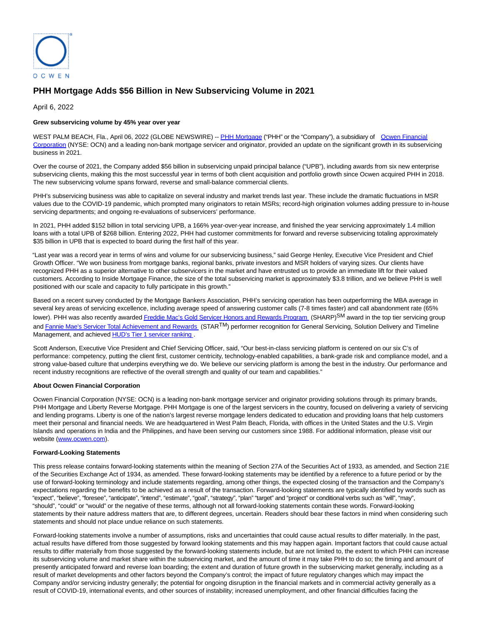

# **PHH Mortgage Adds \$56 Billion in New Subservicing Volume in 2021**

April 6, 2022

## **Grew subservicing volume by 45% year over year**

WEST PALM BEACH, Fla., April 06, 2022 (GLOBE NEWSWIRE) -- [PHH Mortgage \(](https://www.globenewswire.com/Tracker?data=zQ7ujTxMrntkn_hPoKQIdes-9vqd1pWMc0Ibbz5p5rNEb4R6OjJL9ewoMyG0u2uoP4MNfs4ZF5hYbRj2TJxeLA==)"PHH" or the "Company"), a subsidiary of [Ocwen Financial](https://www.globenewswire.com/Tracker?data=pPiyUYyVgaCCGygABpzn6-oCGHkF3XNI3K_JOJ9bz-ljOkn7_--iPt4IjoMMJUS_1cOo14gEj-V5uD3MyGj75BcEqUS-Y4GVEY4dK6qZuEY=) Corporation (NYSE: OCN) and a leading non-bank mortgage servicer and originator, provided an update on the significant growth in its subservicing business in 2021.

Over the course of 2021, the Company added \$56 billion in subservicing unpaid principal balance ("UPB"), including awards from six new enterprise subservicing clients, making this the most successful year in terms of both client acquisition and portfolio growth since Ocwen acquired PHH in 2018. The new subservicing volume spans forward, reverse and small-balance commercial clients.

PHH's subservicing business was able to capitalize on several industry and market trends last year. These include the dramatic fluctuations in MSR values due to the COVID-19 pandemic, which prompted many originators to retain MSRs; record-high origination volumes adding pressure to in-house servicing departments; and ongoing re-evaluations of subservicers' performance.

In 2021, PHH added \$152 billion in total servicing UPB, a 166% year-over-year increase, and finished the year servicing approximately 1.4 million loans with a total UPB of \$268 billion. Entering 2022, PHH had customer commitments for forward and reverse subservicing totaling approximately \$35 billion in UPB that is expected to board during the first half of this year.

"Last year was a record year in terms of wins and volume for our subservicing business," said George Henley, Executive Vice President and Chief Growth Officer. "We won business from mortgage banks, regional banks, private investors and MSR holders of varying sizes. Our clients have recognized PHH as a superior alternative to other subservicers in the market and have entrusted us to provide an immediate lift for their valued customers. According to Inside Mortgage Finance, the size of the total subservicing market is approximately \$3.8 trillion, and we believe PHH is well positioned with our scale and capacity to fully participate in this growth."

Based on a recent survey conducted by the Mortgage Bankers Association, PHH's servicing operation has been outperforming the MBA average in several key areas of servicing excellence, including average speed of answering customer calls (7-8 times faster) and call abandonment rate (65% lower). PHH was also recently awarde[d Freddie Mac's Gold Servicer Honors and Rewards Program \(](https://www.globenewswire.com/Tracker?data=FoTvkjpNRZZHNHqeaFBzoePC6niEeqwzjvrJwQwPM1Jro6hKNajhRa3Drxul90GSF4ccsJ7EhUs4NvYzcIbDwBnCYiPBqGUkK0ik4BxENlLlmNgjjakTfqXzhpHkgY5PNBLBWrGxXadEn6jNkZer_SSRMiwVS1JFoBczS0E-xo1iAe0lh2GJiWh-bucZc7L52IXAZACTuF_Uh7yCJH4a5OGefb1IeDWD_CkxvE0a1jqWPS6q-zUO1NHkmXHZ6qpJKCBiUfTRf_cvGBtfgYMO0w==)SHARP)<sup>SM</sup> award in the top tier servicing group an[d Fannie Mae's Servicer Total Achievement and Rewards \(](https://www.globenewswire.com/Tracker?data=8Cr96GuJfmRDSjRygpFqTo4rEd-5pgKO-LF184HH_FiMCYvrwviMEjpdDTSmlVi8P55fCCnfyoOKgAWs_tptxnivh9x4pnvwooF8tZhPsoMZuvd581hE4vwe7h4fyJd5Oiiuhjs6045c6XSXJ6p-wJv4HceDBEj2CA-EdedHsTNxI42gtOdg0hgQr8FUEM4AvcTsWKc9pSaSLI_U03TmgrHZuvA10pGuZ7etu9Q4nxg6lajGnhSHine3pCRX0sUFWX81JfM8owztROlbeUx8Ag==)STARTM) performer recognition for General Servicing, Solution Delivery and Timeline Management, and achieved **HUD's Tier 1 servicer ranking**.

Scott Anderson, Executive Vice President and Chief Servicing Officer, said, "Our best-in-class servicing platform is centered on our six C's of performance: competency, putting the client first, customer centricity, technology-enabled capabilities, a bank-grade risk and compliance model, and a strong value-based culture that underpins everything we do. We believe our servicing platform is among the best in the industry. Our performance and recent industry recognitions are reflective of the overall strength and quality of our team and capabilities."

### **About Ocwen Financial Corporation**

Ocwen Financial Corporation (NYSE: OCN) is a leading non-bank mortgage servicer and originator providing solutions through its primary brands, PHH Mortgage and Liberty Reverse Mortgage. PHH Mortgage is one of the largest servicers in the country, focused on delivering a variety of servicing and lending programs. Liberty is one of the nation's largest reverse mortgage lenders dedicated to education and providing loans that help customers meet their personal and financial needs. We are headquartered in West Palm Beach, Florida, with offices in the United States and the U.S. Virgin Islands and operations in India and the Philippines, and have been serving our customers since 1988. For additional information, please visit our website [\(www.ocwen.com\)](https://www.globenewswire.com/Tracker?data=6vuhl-u6EqaC0XhoCLvPactjMX82K-rN5rK2d9KGGj7bc3x6bLibJ3_OKsxATbnYWNuw7l0GBVItflpp2QiSUA==).

### **Forward-Looking Statements**

This press release contains forward-looking statements within the meaning of Section 27A of the Securities Act of 1933, as amended, and Section 21E of the Securities Exchange Act of 1934, as amended. These forward-looking statements may be identified by a reference to a future period or by the use of forward-looking terminology and include statements regarding, among other things, the expected closing of the transaction and the Company's expectations regarding the benefits to be achieved as a result of the transaction. Forward-looking statements are typically identified by words such as "expect", "believe", "foresee", "anticipate", "intend", "estimate", "goal", "strategy", "plan" "target" and "project" or conditional verbs such as "will", "may", "should", "could" or "would" or the negative of these terms, although not all forward-looking statements contain these words. Forward-looking statements by their nature address matters that are, to different degrees, uncertain. Readers should bear these factors in mind when considering such statements and should not place undue reliance on such statements.

Forward-looking statements involve a number of assumptions, risks and uncertainties that could cause actual results to differ materially. In the past, actual results have differed from those suggested by forward looking statements and this may happen again. Important factors that could cause actual results to differ materially from those suggested by the forward-looking statements include, but are not limited to, the extent to which PHH can increase its subservicing volume and market share within the subservicing market, and the amount of time it may take PHH to do so; the timing and amount of presently anticipated forward and reverse loan boarding; the extent and duration of future growth in the subservicing market generally, including as a result of market developments and other factors beyond the Company's control; the impact of future regulatory changes which may impact the Company and/or servicing industry generally; the potential for ongoing disruption in the financial markets and in commercial activity generally as a result of COVID-19, international events, and other sources of instability; increased unemployment, and other financial difficulties facing the